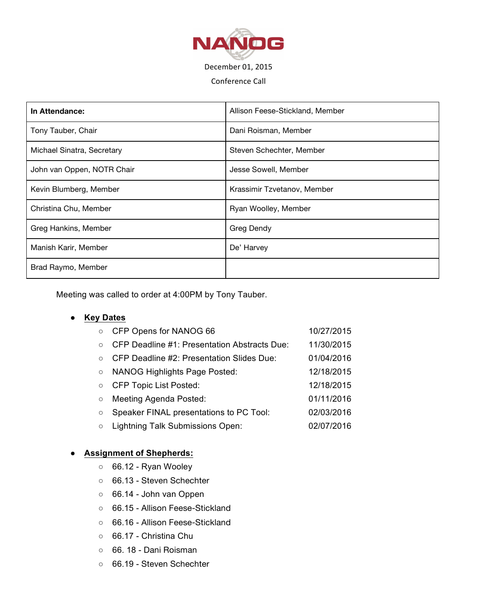

#### Conference Call

| In Attendance:             | Allison Feese-Stickland, Member |  |
|----------------------------|---------------------------------|--|
| Tony Tauber, Chair         | Dani Roisman, Member            |  |
| Michael Sinatra, Secretary | Steven Schechter, Member        |  |
| John van Oppen, NOTR Chair | Jesse Sowell, Member            |  |
| Kevin Blumberg, Member     | Krassimir Tzvetanov, Member     |  |
| Christina Chu, Member      | Ryan Woolley, Member            |  |
| Greg Hankins, Member       | Greg Dendy                      |  |
| Manish Karir, Member       | De' Harvey                      |  |
| Brad Raymo, Member         |                                 |  |

Meeting was called to order at 4:00PM by Tony Tauber.

# ● **Key Dates**

| $\circ$ | CFP Opens for NANOG 66                              | 10/27/2015 |
|---------|-----------------------------------------------------|------------|
| $\circ$ | <b>CFP Deadline #1: Presentation Abstracts Due:</b> | 11/30/2015 |
| $\circ$ | CFP Deadline #2: Presentation Slides Due:           | 01/04/2016 |
| $\circ$ | <b>NANOG Highlights Page Posted:</b>                | 12/18/2015 |
| $\circ$ | <b>CFP Topic List Posted:</b>                       | 12/18/2015 |
| $\circ$ | Meeting Agenda Posted:                              | 01/11/2016 |
| $\circ$ | Speaker FINAL presentations to PC Tool:             | 02/03/2016 |
| $\circ$ | <b>Lightning Talk Submissions Open:</b>             | 02/07/2016 |

## ● **Assignment of Shepherds:**

- 66.12 Ryan Wooley
- 66.13 Steven Schechter
- 66.14 John van Oppen
- 66.15 Allison Feese-Stickland
- 66.16 Allison Feese-Stickland
- 66.17 Christina Chu
- 66. 18 Dani Roisman
- 66.19 Steven Schechter